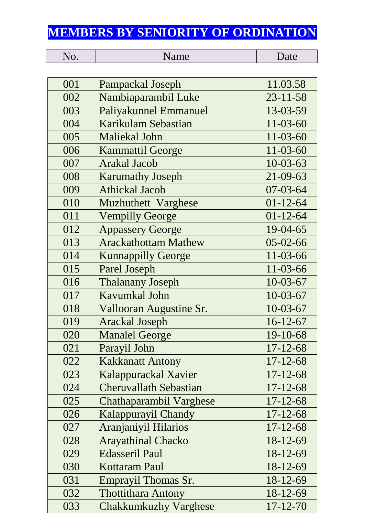## **MEMBERS BY SENIORITY OF ORDINATION**

| No. | Name                          | Date           |
|-----|-------------------------------|----------------|
|     |                               |                |
| 001 | Pampackal Joseph              | 11.03.58       |
| 002 | Nambiaparambil Luke           | $23 - 11 - 58$ |
| 003 | Paliyakunnel Emmanuel         | 13-03-59       |
| 004 | Karikulam Sebastian           | $11 - 03 - 60$ |
| 005 | <b>Maliekal John</b>          | $11 - 03 - 60$ |
| 006 | <b>Kammattil George</b>       | $11 - 03 - 60$ |
| 007 | <b>Arakal Jacob</b>           | $10 - 03 - 63$ |
| 008 | <b>Karumathy Joseph</b>       | 21-09-63       |
| 009 | <b>Athickal Jacob</b>         | $07 - 03 - 64$ |
| 010 | Muzhuthett Varghese           | $01 - 12 - 64$ |
| 011 | <b>Vempilly George</b>        | $01 - 12 - 64$ |
| 012 | <b>Appassery George</b>       | $19-04-65$     |
| 013 | <b>Arackathottam Mathew</b>   | $05 - 02 - 66$ |
| 014 | <b>Kunnappilly George</b>     | 11-03-66       |
| 015 | Parel Joseph                  | 11-03-66       |
| 016 | <b>Thalanany Joseph</b>       | $10-03-67$     |
| 017 | Kavumkal John                 | $10-03-67$     |
| 018 | Vallooran Augustine Sr.       | $10 - 03 - 67$ |
| 019 | <b>Arackal Joseph</b>         | $16-12-67$     |
| 020 | <b>Manalel George</b>         | 19-10-68       |
| 021 | Parayil John                  | $17 - 12 - 68$ |
| 022 | <b>Kakkanatt Antony</b>       | $17 - 12 - 68$ |
| 023 | Kalappurackal Xavier          | $17 - 12 - 68$ |
| 024 | <b>Cheruvallath Sebastian</b> | $17 - 12 - 68$ |
| 025 | Chathaparambil Varghese       | $17 - 12 - 68$ |
| 026 | Kalappurayil Chandy           | $17 - 12 - 68$ |
| 027 | Aranjaniyil Hilarios          | $17 - 12 - 68$ |
| 028 | <b>Arayathinal Chacko</b>     | 18-12-69       |
| 029 | <b>Edasseril Paul</b>         | 18-12-69       |
| 030 | <b>Kottaram Paul</b>          | $18-12-69$     |
| 031 | <b>Emprayil Thomas Sr.</b>    | 18-12-69       |
| 032 | <b>Thottithara Antony</b>     | $18 - 12 - 69$ |
| 033 | <b>Chakkumkuzhy Varghese</b>  | $17 - 12 - 70$ |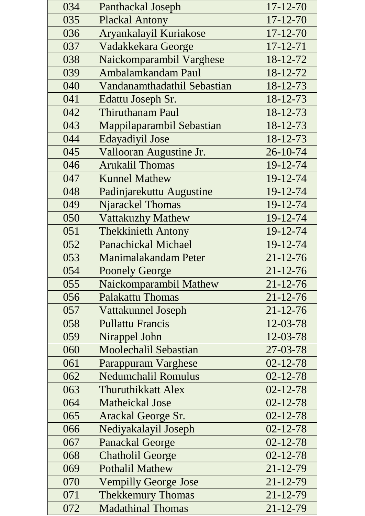| 034 | Panthackal Joseph           | $17 - 12 - 70$ |
|-----|-----------------------------|----------------|
| 035 | <b>Plackal Antony</b>       | $17 - 12 - 70$ |
| 036 | Aryankalayil Kuriakose      | $17 - 12 - 70$ |
| 037 | Vadakkekara George          | $17 - 12 - 71$ |
| 038 | Naickomparambil Varghese    | 18-12-72       |
| 039 | Ambalamkandam Paul          | 18-12-72       |
| 040 | Vandanamthadathil Sebastian | 18-12-73       |
| 041 | Edattu Joseph Sr.           | 18-12-73       |
| 042 | <b>Thiruthanam Paul</b>     | 18-12-73       |
| 043 | Mappilaparambil Sebastian   | 18-12-73       |
| 044 | <b>Edayadiyil Jose</b>      | 18-12-73       |
| 045 | Vallooran Augustine Jr.     | 26-10-74       |
| 046 | <b>Arukalil Thomas</b>      | 19-12-74       |
| 047 | <b>Kunnel Mathew</b>        | 19-12-74       |
| 048 | Padinjarekuttu Augustine    | 19-12-74       |
| 049 | <b>Njarackel Thomas</b>     | 19-12-74       |
| 050 | <b>Vattakuzhy Mathew</b>    | 19-12-74       |
| 051 | <b>Thekkinieth Antony</b>   | 19-12-74       |
| 052 | <b>Panachickal Michael</b>  | 19-12-74       |
| 053 | Manimalakandam Peter        | $21 - 12 - 76$ |
| 054 | <b>Poonely George</b>       | $21 - 12 - 76$ |
| 055 | Naickomparambil Mathew      | $21 - 12 - 76$ |
| 056 | <b>Palakattu Thomas</b>     | $21 - 12 - 76$ |
| 057 | <b>Vattakunnel Joseph</b>   | $21 - 12 - 76$ |
| 058 | <b>Pullattu Francis</b>     | 12-03-78       |
| 059 | Nirappel John               | 12-03-78       |
| 060 | Moolechalil Sebastian       | 27-03-78       |
| 061 | <b>Parappuram Varghese</b>  | $02 - 12 - 78$ |
| 062 | <b>Nedumchalil Romulus</b>  | $02 - 12 - 78$ |
| 063 | <b>Thuruthikkatt Alex</b>   | $02 - 12 - 78$ |
| 064 | Matheickal Jose             | $02 - 12 - 78$ |
| 065 | Arackal George Sr.          | $02 - 12 - 78$ |
| 066 | Nediyakalayil Joseph        | $02 - 12 - 78$ |
| 067 | <b>Panackal George</b>      | $02 - 12 - 78$ |
| 068 | <b>Chatholil George</b>     | $02 - 12 - 78$ |
| 069 | <b>Pothalil Mathew</b>      | $21 - 12 - 79$ |
| 070 | <b>Vempilly George Jose</b> | $21 - 12 - 79$ |
| 071 | <b>Thekkemury Thomas</b>    | $21 - 12 - 79$ |
| 072 | <b>Madathinal Thomas</b>    | $21 - 12 - 79$ |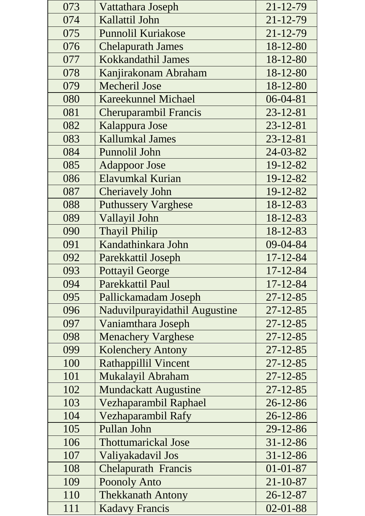| 073 | Vattathara Joseph             | 21-12-79       |
|-----|-------------------------------|----------------|
| 074 | Kallattil John                | $21 - 12 - 79$ |
| 075 | <b>Punnolil Kuriakose</b>     | $21 - 12 - 79$ |
| 076 | <b>Chelapurath James</b>      | $18 - 12 - 80$ |
| 077 | Kokkandathil James            | 18-12-80       |
| 078 | Kanjirakonam Abraham          | 18-12-80       |
| 079 | <b>Mecheril Jose</b>          | 18-12-80       |
| 080 | <b>Kareekunnel Michael</b>    | $06 - 04 - 81$ |
| 081 | Cheruparambil Francis         | $23 - 12 - 81$ |
| 082 | Kalappura Jose                | $23 - 12 - 81$ |
| 083 | <b>Kallumkal James</b>        | $23 - 12 - 81$ |
| 084 | Punnolil John                 | 24-03-82       |
| 085 | <b>Adappoor Jose</b>          | 19-12-82       |
| 086 | Elavumkal Kurian              | 19-12-82       |
| 087 | <b>Cheriavely John</b>        | 19-12-82       |
| 088 | <b>Puthussery Varghese</b>    | 18-12-83       |
| 089 | Vallayil John                 | 18-12-83       |
| 090 | <b>Thayil Philip</b>          | 18-12-83       |
| 091 | Kandathinkara John            | 09-04-84       |
| 092 | Parekkattil Joseph            | $17 - 12 - 84$ |
| 093 | <b>Pottayil George</b>        | $17 - 12 - 84$ |
| 094 | Parekkattil Paul              | 17-12-84       |
| 095 | Pallickamadam Joseph          | $27 - 12 - 85$ |
| 096 | Naduvilpurayidathil Augustine | $27 - 12 - 85$ |
| 097 | Vaniamthara Joseph            | $27 - 12 - 85$ |
| 098 | <b>Menachery Varghese</b>     | $27 - 12 - 85$ |
| 099 | <b>Kolenchery Antony</b>      | $27 - 12 - 85$ |
| 100 | <b>Rathappillil Vincent</b>   | $27 - 12 - 85$ |
| 101 | Mukalayil Abraham             | $27 - 12 - 85$ |
| 102 | <b>Mundackatt Augustine</b>   | $27 - 12 - 85$ |
| 103 | Vezhaparambil Raphael         | 26-12-86       |
| 104 | Vezhaparambil Rafy            | $26 - 12 - 86$ |
| 105 | Pullan John                   | 29-12-86       |
| 106 | <b>Thottumarickal Jose</b>    | $31 - 12 - 86$ |
| 107 | Valiyakadavil Jos             | $31 - 12 - 86$ |
| 108 | <b>Chelapurath Francis</b>    | $01 - 01 - 87$ |
| 109 | <b>Poonoly Anto</b>           | $21 - 10 - 87$ |
| 110 | <b>Thekkanath Antony</b>      | $26 - 12 - 87$ |
| 111 | <b>Kadavy Francis</b>         | $02 - 01 - 88$ |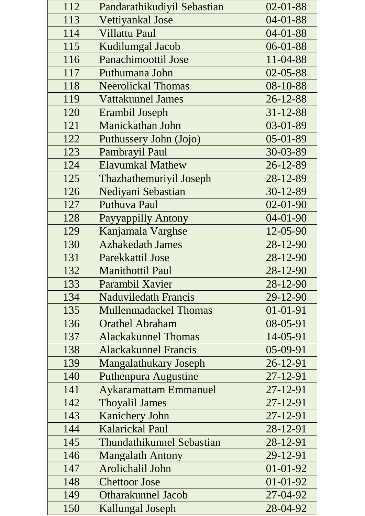| 112 | Pandarathikudiyil Sebastian      | $02 - 01 - 88$ |
|-----|----------------------------------|----------------|
| 113 | Vettiyankal Jose                 | $04 - 01 - 88$ |
| 114 | <b>Villattu Paul</b>             | $04 - 01 - 88$ |
| 115 | Kudilumgal Jacob                 | $06 - 01 - 88$ |
| 116 | <b>Panachimoottil Jose</b>       | 11-04-88       |
| 117 | Puthumana John                   | 02-05-88       |
| 118 | <b>Neerolickal Thomas</b>        | 08-10-88       |
| 119 | <b>Vattakunnel James</b>         | $26 - 12 - 88$ |
| 120 | Erambil Joseph                   | $31 - 12 - 88$ |
| 121 | Manickathan John                 | 03-01-89       |
| 122 | Puthussery John (Jojo)           | $05-01-89$     |
| 123 | Pambrayil Paul                   | 30-03-89       |
| 124 | <b>Elavumkal Mathew</b>          | $26 - 12 - 89$ |
| 125 | Thazhathemuriyil Joseph          | 28-12-89       |
| 126 | Nediyani Sebastian               | 30-12-89       |
| 127 | Puthuva Paul                     | $02 - 01 - 90$ |
| 128 | Payyappilly Antony               | $04 - 01 - 90$ |
| 129 | Kanjamala Varghse                | 12-05-90       |
| 130 | <b>Azhakedath James</b>          | 28-12-90       |
| 131 | Parekkattil Jose                 | 28-12-90       |
| 132 | <b>Manithottil Paul</b>          | 28-12-90       |
| 133 | Parambil Xavier                  | 28-12-90       |
| 134 | <b>Naduviledath Francis</b>      | 29-12-90       |
| 135 | <b>Mullenmadackel Thomas</b>     | $01 - 01 - 91$ |
| 136 | <b>Orathel Abraham</b>           | 08-05-91       |
| 137 | <b>Alackakunnel Thomas</b>       | 14-05-91       |
| 138 | <b>Alackakunnel Francis</b>      | 05-09-91       |
| 139 | <b>Mangalathukary Joseph</b>     | 26-12-91       |
| 140 | Puthenpura Augustine             | 27-12-91       |
| 141 | <b>Aykaramattam Emmanuel</b>     | $27 - 12 - 91$ |
| 142 | <b>Thoyalil James</b>            | 27-12-91       |
| 143 | Kanichery John                   | 27-12-91       |
| 144 | <b>Kalarickal Paul</b>           | 28-12-91       |
| 145 | <b>Thundathikunnel Sebastian</b> | 28-12-91       |
| 146 | <b>Mangalath Antony</b>          | 29-12-91       |
| 147 | Arolichalil John                 | $01-01-92$     |
| 148 | <b>Chettoor Jose</b>             | $01 - 01 - 92$ |
| 149 | <b>Otharakunnel Jacob</b>        | 27-04-92       |
| 150 | Kallungal Joseph                 | 28-04-92       |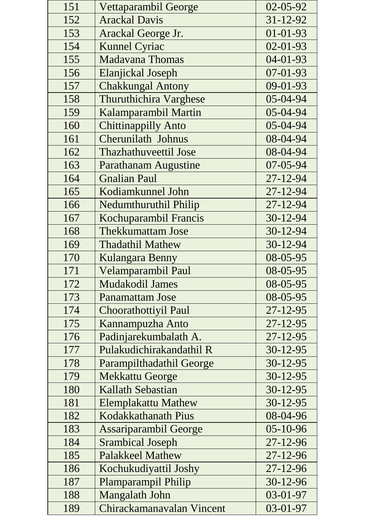| 151 | Vettaparambil George          | 02-05-92       |
|-----|-------------------------------|----------------|
| 152 | <b>Arackal Davis</b>          | 31-12-92       |
| 153 | Arackal George Jr.            | $01 - 01 - 93$ |
| 154 | <b>Kunnel Cyriac</b>          | $02 - 01 - 93$ |
| 155 | <b>Madavana Thomas</b>        | 04-01-93       |
| 156 | Elanjickal Joseph             | 07-01-93       |
| 157 | <b>Chakkungal Antony</b>      | 09-01-93       |
| 158 | <b>Thuruthichira Varghese</b> | 05-04-94       |
| 159 | Kalamparambil Martin          | 05-04-94       |
| 160 | <b>Chittinappilly Anto</b>    | 05-04-94       |
| 161 | Cherunilath Johnus            | 08-04-94       |
| 162 | <b>Thazhathuveettil Jose</b>  | 08-04-94       |
| 163 | <b>Parathanam Augustine</b>   | $07 - 05 - 94$ |
| 164 | <b>Gnalian Paul</b>           | 27-12-94       |
| 165 | Kodiamkunnel John             | 27-12-94       |
| 166 | Nedumthuruthil Philip         | 27-12-94       |
| 167 | Kochuparambil Francis         | 30-12-94       |
| 168 | <b>Thekkumattam Jose</b>      | 30-12-94       |
| 169 | <b>Thadathil Mathew</b>       | 30-12-94       |
| 170 | Kulangara Benny               | 08-05-95       |
| 171 | Velamparambil Paul            | 08-05-95       |
| 172 | <b>Mudakodil James</b>        | 08-05-95       |
| 173 | <b>Panamattam Jose</b>        | 08-05-95       |
| 174 | Choorathottiyil Paul          | $27 - 12 - 95$ |
| 175 | Kannampuzha Anto              | $27 - 12 - 95$ |
| 176 | Padinjarekumbalath A.         | 27-12-95       |
| 177 | Pulakudichirakandathil R      | 30-12-95       |
| 178 | Parampilthadathil George      | 30-12-95       |
| 179 | <b>Mekkattu George</b>        | 30-12-95       |
| 180 | <b>Kallath Sebastian</b>      | 30-12-95       |
| 181 | <b>Elemplakattu Mathew</b>    | 30-12-95       |
| 182 | Kodakkathanath Pius           | 08-04-96       |
| 183 | <b>Assariparambil George</b>  | 05-10-96       |
| 184 | <b>Srambical Joseph</b>       | $27 - 12 - 96$ |
| 185 | <b>Palakkeel Mathew</b>       | $27 - 12 - 96$ |
| 186 | Kochukudiyattil Joshy         | 27-12-96       |
| 187 | Plamparampil Philip           | 30-12-96       |
| 188 | Mangalath John                | 03-01-97       |
| 189 | Chirackamanavalan Vincent     | 03-01-97       |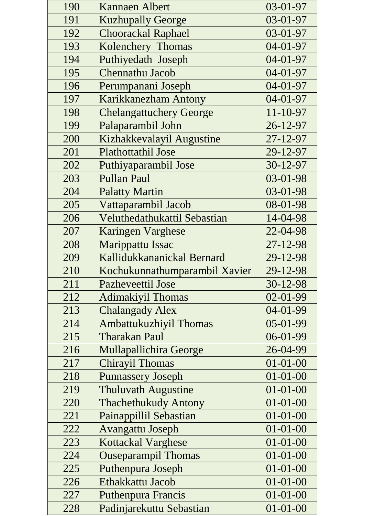| 190 | <b>Kannaen Albert</b>          | 03-01-97       |
|-----|--------------------------------|----------------|
| 191 | <b>Kuzhupally George</b>       | 03-01-97       |
| 192 | Choorackal Raphael             | 03-01-97       |
| 193 | Kolenchery Thomas              | 04-01-97       |
| 194 | Puthiyedath Joseph             | 04-01-97       |
| 195 | Chennathu Jacob                | 04-01-97       |
| 196 | Perumpanani Joseph             | 04-01-97       |
| 197 | Karikkanezham Antony           | 04-01-97       |
| 198 | <b>Chelangattuchery George</b> | 11-10-97       |
| 199 | Palaparambil John              | 26-12-97       |
| 200 | Kizhakkevalayil Augustine      | 27-12-97       |
| 201 | Plathottathil Jose             | 29-12-97       |
| 202 | Puthiyaparambil Jose           | 30-12-97       |
| 203 | <b>Pullan Paul</b>             | 03-01-98       |
| 204 | <b>Palatty Martin</b>          | 03-01-98       |
| 205 | Vattaparambil Jacob            | 08-01-98       |
| 206 | Veluthedathukattil Sebastian   | 14-04-98       |
| 207 | Karingen Varghese              | 22-04-98       |
| 208 | Marippattu Issac               | 27-12-98       |
| 209 | Kallidukkananickal Bernard     | 29-12-98       |
| 210 | Kochukunnathumparambil Xavier  | 29-12-98       |
| 211 | <b>Pazheveettil Jose</b>       | 30-12-98       |
| 212 | <b>Adimakiyil Thomas</b>       | 02-01-99       |
| 213 | <b>Chalangady Alex</b>         | 04-01-99       |
| 214 | Ambattukuzhiyil Thomas         | 05-01-99       |
| 215 | <b>Tharakan Paul</b>           | 06-01-99       |
| 216 | Mullapallichira George         | 26-04-99       |
| 217 | <b>Chirayil Thomas</b>         | $01 - 01 - 00$ |
| 218 | <b>Punnassery Joseph</b>       | $01 - 01 - 00$ |
| 219 | <b>Thuluvath Augustine</b>     | $01 - 01 - 00$ |
| 220 | <b>Thachethukudy Antony</b>    | $01 - 01 - 00$ |
| 221 | Painappillil Sebastian         | $01 - 01 - 00$ |
| 222 | <b>Avangattu Joseph</b>        | $01 - 01 - 00$ |
| 223 | <b>Kottackal Varghese</b>      | $01 - 01 - 00$ |
| 224 | <b>Ouseparampil Thomas</b>     | $01 - 01 - 00$ |
| 225 | Puthenpura Joseph              | $01 - 01 - 00$ |
| 226 | Ethakkattu Jacob               | $01 - 01 - 00$ |
| 227 | Puthenpura Francis             | $01 - 01 - 00$ |
| 228 | Padinjarekuttu Sebastian       | $01 - 01 - 00$ |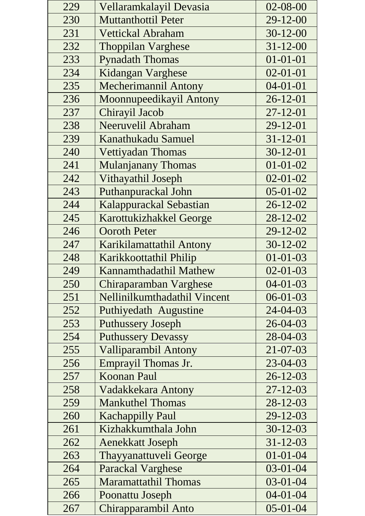| 229 | Vellaramkalayil Devasia      | 02-08-00       |
|-----|------------------------------|----------------|
| 230 | <b>Muttanthottil Peter</b>   | 29-12-00       |
| 231 | <b>Vettickal Abraham</b>     | $30 - 12 - 00$ |
| 232 | <b>Thoppilan Varghese</b>    | $31 - 12 - 00$ |
| 233 | <b>Pynadath Thomas</b>       | $01 - 01 - 01$ |
| 234 | Kidangan Varghese            | $02 - 01 - 01$ |
| 235 | <b>Mecherimannil Antony</b>  | $04 - 01 - 01$ |
| 236 | Moonnupeedikayil Antony      | $26 - 12 - 01$ |
| 237 | Chirayil Jacob               | $27 - 12 - 01$ |
| 238 | Neeruvelil Abraham           | 29-12-01       |
| 239 | Kanathukadu Samuel           | $31 - 12 - 01$ |
| 240 | Vettiyadan Thomas            | $30 - 12 - 01$ |
| 241 | <b>Mulanjanany Thomas</b>    | $01 - 01 - 02$ |
| 242 | Vithayathil Joseph           | $02 - 01 - 02$ |
| 243 | Puthanpurackal John          | $05-01-02$     |
| 244 | Kalappurackal Sebastian      | $26 - 12 - 02$ |
| 245 | Karottukizhakkel George      | 28-12-02       |
| 246 | <b>Ooroth Peter</b>          | 29-12-02       |
| 247 | Karikilamattathil Antony     | $30 - 12 - 02$ |
| 248 | Karikkoottathil Philip       | $01 - 01 - 03$ |
| 249 | Kannamthadathil Mathew       | $02 - 01 - 03$ |
| 250 | Chiraparamban Varghese       | $04 - 01 - 03$ |
| 251 | Nellinilkumthadathil Vincent | $06 - 01 - 03$ |
| 252 | Puthiyedath Augustine        | 24-04-03       |
| 253 | <b>Puthussery Joseph</b>     | $26 - 04 - 03$ |
| 254 | <b>Puthussery Devassy</b>    | 28-04-03       |
| 255 | <b>Valliparambil Antony</b>  | 21-07-03       |
| 256 | Emprayil Thomas Jr.          | 23-04-03       |
| 257 | <b>Koonan Paul</b>           | $26 - 12 - 03$ |
| 258 | Vadakkekara Antony           | $27 - 12 - 03$ |
| 259 | <b>Mankuthel Thomas</b>      | $28-12-03$     |
| 260 | <b>Kachappilly Paul</b>      | $29 - 12 - 03$ |
| 261 | Kizhakkumthala John          | $30-12-03$     |
| 262 | <b>Aenekkatt Joseph</b>      | $31 - 12 - 03$ |
| 263 | Thayyanattuveli George       | $01 - 01 - 04$ |
| 264 | <b>Parackal Varghese</b>     | $03-01-04$     |
| 265 | <b>Maramattathil Thomas</b>  | $03 - 01 - 04$ |
| 266 | Poonattu Joseph              | $04 - 01 - 04$ |
| 267 | Chirapparambil Anto          | $05 - 01 - 04$ |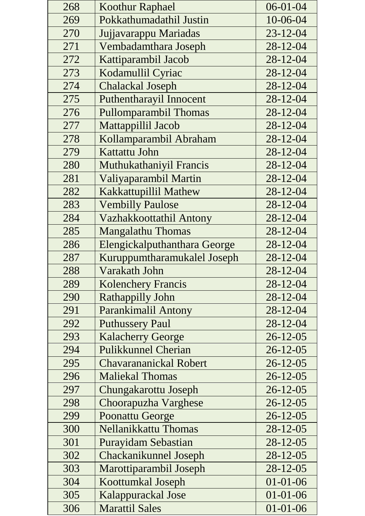| 268 | <b>Koothur Raphael</b>       | $06 - 01 - 04$ |
|-----|------------------------------|----------------|
| 269 | Pokkathumadathil Justin      | 10-06-04       |
| 270 | Jujjavarappu Mariadas        | $23 - 12 - 04$ |
| 271 | Vembadamthara Joseph         | 28-12-04       |
| 272 | Kattiparambil Jacob          | 28-12-04       |
| 273 | Kodamullil Cyriac            | 28-12-04       |
| 274 | <b>Chalackal Joseph</b>      | 28-12-04       |
| 275 | Puthentharayil Innocent      | $28 - 12 - 04$ |
| 276 | <b>Pullomparambil Thomas</b> | 28-12-04       |
| 277 | Mattappillil Jacob           | 28-12-04       |
| 278 | Kollamparambil Abraham       | 28-12-04       |
| 279 | Kattattu John                | 28-12-04       |
| 280 | Muthukathaniyil Francis      | $28 - 12 - 04$ |
| 281 | Valiyaparambil Martin        | 28-12-04       |
| 282 | Kakkattupillil Mathew        | 28-12-04       |
| 283 | <b>Vembilly Paulose</b>      | 28-12-04       |
| 284 | Vazhakkoottathil Antony      | 28-12-04       |
| 285 | <b>Mangalathu Thomas</b>     | 28-12-04       |
| 286 | Elengickalputhanthara George | 28-12-04       |
| 287 | Kuruppumtharamukalel Joseph  | 28-12-04       |
| 288 | Varakath John                | 28-12-04       |
| 289 | <b>Kolenchery Francis</b>    | 28-12-04       |
| 290 | Rathappilly John             | 28-12-04       |
| 291 | <b>Parankimalil Antony</b>   | 28-12-04       |
| 292 | <b>Puthussery Paul</b>       | 28-12-04       |
| 293 | <b>Kalacherry George</b>     | $26 - 12 - 05$ |
| 294 | <b>Pulikkunnel Cherian</b>   | $26 - 12 - 05$ |
| 295 | Chavarananickal Robert       | $26 - 12 - 05$ |
| 296 | <b>Maliekal Thomas</b>       | $26 - 12 - 05$ |
| 297 | Chungakarottu Joseph         | $26 - 12 - 05$ |
| 298 | Choorapuzha Varghese         | $26 - 12 - 05$ |
| 299 | Poonattu George              | $26 - 12 - 05$ |
| 300 | Nellanikkattu Thomas         | $28 - 12 - 05$ |
| 301 | <b>Purayidam Sebastian</b>   | $28 - 12 - 05$ |
| 302 | Chackanikunnel Joseph        | $28 - 12 - 05$ |
| 303 | Marottiparambil Joseph       | $28 - 12 - 05$ |
| 304 | Koottumkal Joseph            | $01 - 01 - 06$ |
| 305 | Kalappurackal Jose           | $01 - 01 - 06$ |
| 306 | <b>Marattil Sales</b>        | $01 - 01 - 06$ |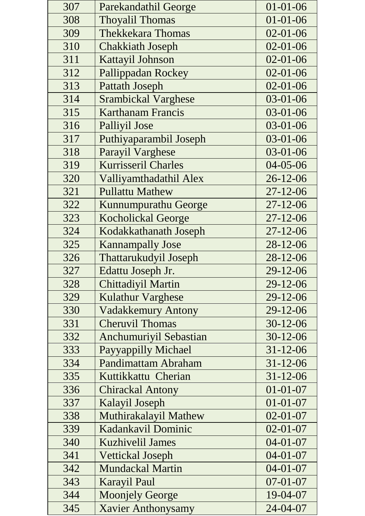| 307 | Parekandathil George       | $01 - 01 - 06$ |
|-----|----------------------------|----------------|
| 308 | <b>Thoyalil Thomas</b>     | $01 - 01 - 06$ |
| 309 | <b>Thekkekara Thomas</b>   | $02 - 01 - 06$ |
| 310 | <b>Chakkiath Joseph</b>    | $02 - 01 - 06$ |
| 311 | Kattayil Johnson           | $02 - 01 - 06$ |
| 312 | Pallippadan Rockey         | $02 - 01 - 06$ |
| 313 | <b>Pattath Joseph</b>      | $02 - 01 - 06$ |
| 314 | <b>Srambickal Varghese</b> | $03 - 01 - 06$ |
| 315 | <b>Karthanam Francis</b>   | $03 - 01 - 06$ |
| 316 | Palliyil Jose              | 03-01-06       |
| 317 | Puthiyaparambil Joseph     | 03-01-06       |
| 318 | Parayil Varghese           | $03 - 01 - 06$ |
| 319 | <b>Kurrisseril Charles</b> | 04-05-06       |
| 320 | Valliyamthadathil Alex     | $26 - 12 - 06$ |
| 321 | <b>Pullattu Mathew</b>     | $27 - 12 - 06$ |
| 322 | Kunnumpurathu George       | $27 - 12 - 06$ |
| 323 | <b>Kocholickal George</b>  | $27 - 12 - 06$ |
| 324 | Kodakkathanath Joseph      | $27 - 12 - 06$ |
| 325 | <b>Kannampally Jose</b>    | $28-12-06$     |
| 326 | Thattarukudyil Joseph      | 28-12-06       |
| 327 | Edattu Joseph Jr.          | 29-12-06       |
| 328 | Chittadiyil Martin         | 29-12-06       |
| 329 | <b>Kulathur Varghese</b>   | 29-12-06       |
| 330 | <b>Vadakkemury Antony</b>  | 29-12-06       |
| 331 | <b>Cheruvil Thomas</b>     | $30-12-06$     |
| 332 | Anchumuriyil Sebastian     | $30 - 12 - 06$ |
| 333 | Payyappilly Michael        | $31 - 12 - 06$ |
| 334 | Pandimattam Abraham        | $31 - 12 - 06$ |
| 335 | Kuttikkattu Cherian        | $31 - 12 - 06$ |
| 336 | <b>Chirackal Antony</b>    | $01 - 01 - 07$ |
| 337 | Kalayil Joseph             | $01 - 01 - 07$ |
| 338 | Muthirakalayil Mathew      | $02 - 01 - 07$ |
| 339 | Kadankavil Dominic         | $02 - 01 - 07$ |
| 340 | <b>Kuzhivelil James</b>    | $04 - 01 - 07$ |
| 341 | <b>Vettickal Joseph</b>    | $04 - 01 - 07$ |
| 342 | Mundackal Martin           | $04-01-07$     |
| 343 | <b>Karayil Paul</b>        | $07 - 01 - 07$ |
| 344 | <b>Moonjely George</b>     | 19-04-07       |
| 345 | <b>Xavier Anthonysamy</b>  | 24-04-07       |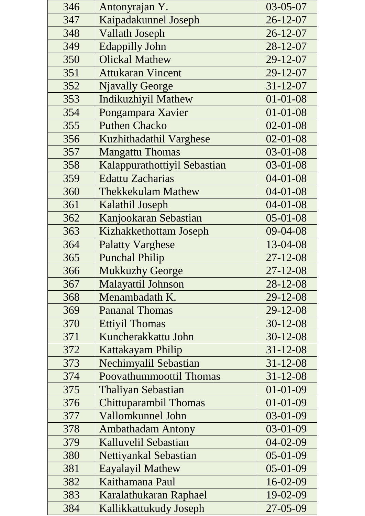| 346 | Antonyrajan Y.               | 03-05-07       |
|-----|------------------------------|----------------|
| 347 | Kaipadakunnel Joseph         | $26 - 12 - 07$ |
| 348 | <b>Vallath Joseph</b>        | $26 - 12 - 07$ |
| 349 | <b>Edappilly John</b>        | $28 - 12 - 07$ |
| 350 | <b>Olickal Mathew</b>        | 29-12-07       |
| 351 | <b>Attukaran Vincent</b>     | 29-12-07       |
| 352 | <b>Njavally George</b>       | $31 - 12 - 07$ |
| 353 | <b>Indikuzhiyil Mathew</b>   | $01 - 01 - 08$ |
| 354 | Pongampara Xavier            | $01 - 01 - 08$ |
| 355 | <b>Puthen Chacko</b>         | $02 - 01 - 08$ |
| 356 | Kuzhithadathil Varghese      | $02 - 01 - 08$ |
| 357 | <b>Mangattu Thomas</b>       | $03 - 01 - 08$ |
| 358 | Kalappurathottiyil Sebastian | 03-01-08       |
| 359 | <b>Edattu Zacharias</b>      | $04 - 01 - 08$ |
| 360 | <b>Thekkekulam Mathew</b>    | $04 - 01 - 08$ |
| 361 | Kalathil Joseph              | $04 - 01 - 08$ |
| 362 | Kanjookaran Sebastian        | $05 - 01 - 08$ |
| 363 | Kizhakkethottam Joseph       | 09-04-08       |
| 364 | <b>Palatty Varghese</b>      | 13-04-08       |
| 365 | <b>Punchal Philip</b>        | $27 - 12 - 08$ |
| 366 | <b>Mukkuzhy George</b>       | $27 - 12 - 08$ |
| 367 | Malayattil Johnson           | 28-12-08       |
| 368 | Menambadath K.               | $29 - 12 - 08$ |
| 369 | <b>Pananal Thomas</b>        | $29 - 12 - 08$ |
| 370 | <b>Ettiyil Thomas</b>        | $30 - 12 - 08$ |
| 371 | Kuncherakkattu John          | $30 - 12 - 08$ |
| 372 | Kattakayam Philip            | $31 - 12 - 08$ |
| 373 | Nechimyalil Sebastian        | $31 - 12 - 08$ |
| 374 | Poovathummoottil Thomas      | $31 - 12 - 08$ |
| 375 | <b>Thaliyan Sebastian</b>    | $01 - 01 - 09$ |
| 376 | Chittuparambil Thomas        | $01 - 01 - 09$ |
| 377 | Vallomkunnel John            | 03-01-09       |
| 378 | <b>Ambathadam Antony</b>     | 03-01-09       |
| 379 | Kalluvelil Sebastian         | $04 - 02 - 09$ |
| 380 | Nettiyankal Sebastian        | 05-01-09       |
| 381 | Eayalayil Mathew             | 05-01-09       |
| 382 | Kaithamana Paul              | 16-02-09       |
| 383 | Karalathukaran Raphael       | 19-02-09       |
| 384 | Kallikkattukudy Joseph       | 27-05-09       |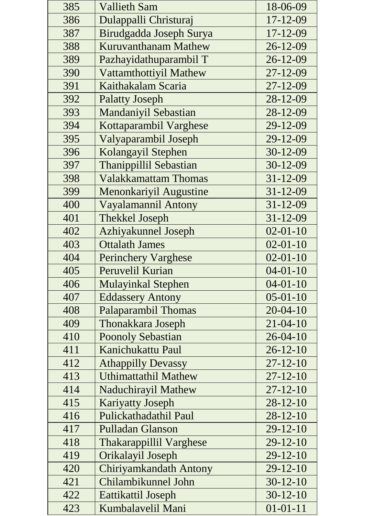| 385 | <b>Vallieth Sam</b>            | 18-06-09       |
|-----|--------------------------------|----------------|
| 386 | Dulappalli Christuraj          | 17-12-09       |
| 387 | Birudgadda Joseph Surya        | $17 - 12 - 09$ |
| 388 | Kuruvanthanam Mathew           | $26 - 12 - 09$ |
| 389 | Pazhayidathuparambil T         | $26 - 12 - 09$ |
| 390 | Vattamthottiyil Mathew         | $27 - 12 - 09$ |
| 391 | Kaithakalam Scaria             | $27 - 12 - 09$ |
| 392 | <b>Palatty Joseph</b>          | 28-12-09       |
| 393 | <b>Mandaniyil Sebastian</b>    | 28-12-09       |
| 394 | Kottaparambil Varghese         | 29-12-09       |
| 395 | Valyaparambil Joseph           | 29-12-09       |
| 396 | Kolangayil Stephen             | $30-12-09$     |
| 397 | Thanippillil Sebastian         | $30-12-09$     |
| 398 | <b>Valakkamattam Thomas</b>    | $31 - 12 - 09$ |
| 399 | Menonkariyil Augustine         | $31 - 12 - 09$ |
| 400 | Vayalamannil Antony            | $31 - 12 - 09$ |
| 401 | <b>Thekkel Joseph</b>          | $31 - 12 - 09$ |
| 402 | <b>Azhiyakunnel Joseph</b>     | $02 - 01 - 10$ |
| 403 | <b>Ottalath James</b>          | $02 - 01 - 10$ |
| 404 | <b>Perinchery Varghese</b>     | $02 - 01 - 10$ |
| 405 | Peruvelil Kurian               | $04 - 01 - 10$ |
| 406 | <b>Mulayinkal Stephen</b>      | $04 - 01 - 10$ |
| 407 | <b>Eddassery Antony</b>        | $05 - 01 - 10$ |
| 408 | <b>Palaparambil Thomas</b>     | $20 - 04 - 10$ |
| 409 | Thonakkara Joseph              | $21 - 04 - 10$ |
| 410 | <b>Poonoly Sebastian</b>       | $26 - 04 - 10$ |
| 411 | Kanichukattu Paul              | $26 - 12 - 10$ |
| 412 | <b>Athappilly Devassy</b>      | $27 - 12 - 10$ |
| 413 | <b>Uthimattathil Mathew</b>    | $27 - 12 - 10$ |
| 414 | <b>Naduchirayil Mathew</b>     | $27 - 12 - 10$ |
| 415 | <b>Kariyatty Joseph</b>        | $28-12-10$     |
| 416 | Pulickathadathil Paul          | $28 - 12 - 10$ |
| 417 | <b>Pulladan Glanson</b>        | $29 - 12 - 10$ |
| 418 | <b>Thakarappillil Varghese</b> | $29-12-10$     |
| 419 | Orikalayil Joseph              | $29-12-10$     |
| 420 | Chiriyamkandath Antony         | $29 - 12 - 10$ |
| 421 | Chilambikunnel John            | $30-12-10$     |
| 422 | Eattikattil Joseph             | $30-12-10$     |
| 423 | Kumbalavelil Mani              | $01 - 01 - 11$ |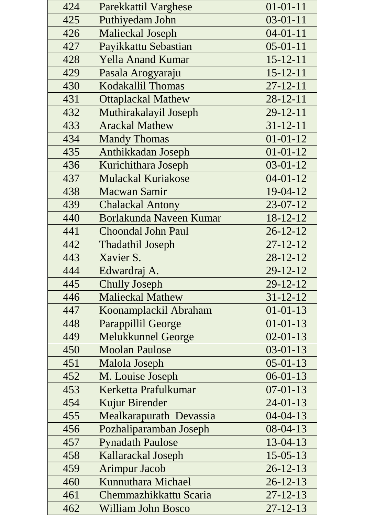| 424 | Parekkattil Varghese      | $01 - 01 - 11$ |
|-----|---------------------------|----------------|
| 425 | Puthiyedam John           | $03 - 01 - 11$ |
| 426 | Malieckal Joseph          | $04 - 01 - 11$ |
| 427 | Payikkattu Sebastian      | $05 - 01 - 11$ |
| 428 | <b>Yella Anand Kumar</b>  | $15 - 12 - 11$ |
| 429 | Pasala Arogyaraju         | $15 - 12 - 11$ |
| 430 | Kodakallil Thomas         | $27 - 12 - 11$ |
| 431 | <b>Ottaplackal Mathew</b> | $28 - 12 - 11$ |
| 432 | Muthirakalayil Joseph     | $29 - 12 - 11$ |
| 433 | <b>Arackal Mathew</b>     | $31 - 12 - 11$ |
| 434 | <b>Mandy Thomas</b>       | $01 - 01 - 12$ |
| 435 | Anthikkadan Joseph        | $01 - 01 - 12$ |
| 436 | Kurichithara Joseph       | $03 - 01 - 12$ |
| 437 | <b>Mulackal Kuriakose</b> | $04 - 01 - 12$ |
| 438 | Macwan Samir              | 19-04-12       |
| 439 | <b>Chalackal Antony</b>   | 23-07-12       |
| 440 | Borlakunda Naveen Kumar   | 18-12-12       |
| 441 | <b>Choondal John Paul</b> | $26 - 12 - 12$ |
| 442 | <b>Thadathil Joseph</b>   | $27 - 12 - 12$ |
| 443 | Xavier S.                 | $28 - 12 - 12$ |
| 444 | Edwardraj A.              | 29-12-12       |
| 445 | <b>Chully Joseph</b>      | $29 - 12 - 12$ |
| 446 | <b>Malieckal Mathew</b>   | $31 - 12 - 12$ |
| 447 | Koonamplackil Abraham     | $01 - 01 - 13$ |
| 448 | Parappillil George        | $01 - 01 - 13$ |
| 449 | <b>Melukkunnel George</b> | $02 - 01 - 13$ |
| 450 | <b>Moolan Paulose</b>     | $03 - 01 - 13$ |
| 451 | Malola Joseph             | $05 - 01 - 13$ |
| 452 | M. Louise Joseph          | $06 - 01 - 13$ |
| 453 | Kerketta Prafulkumar      | $07-01-13$     |
| 454 | Kujur Birender            | $24-01-13$     |
| 455 | Mealkarapurath Devassia   | $04 - 04 - 13$ |
| 456 | Pozhaliparamban Joseph    | $08-04-13$     |
| 457 | <b>Pynadath Paulose</b>   | 13-04-13       |
| 458 | Kallarackal Joseph        | $15 - 05 - 13$ |
| 459 | <b>Arimpur Jacob</b>      | $26 - 12 - 13$ |
| 460 | Kunnuthara Michael        | $26 - 12 - 13$ |
| 461 | Chemmazhikkattu Scaria    | $27 - 12 - 13$ |
| 462 | William John Bosco        | $27 - 12 - 13$ |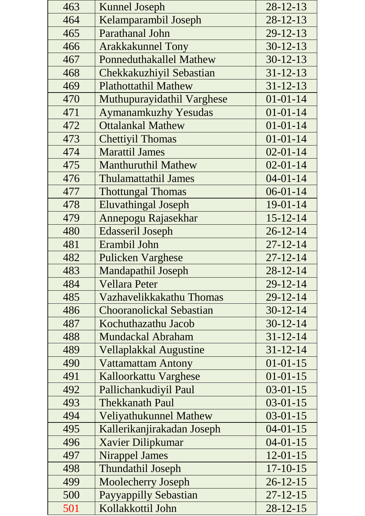| 463 | <b>Kunnel Joseph</b>           | 28-12-13       |
|-----|--------------------------------|----------------|
| 464 | Kelamparambil Joseph           | $28 - 12 - 13$ |
| 465 | Parathanal John                | $29 - 12 - 13$ |
| 466 | <b>Arakkakunnel Tony</b>       | $30-12-13$     |
| 467 | <b>Ponneduthakallel Mathew</b> | $30 - 12 - 13$ |
| 468 | Chekkakuzhiyil Sebastian       | $31 - 12 - 13$ |
| 469 | <b>Plathottathil Mathew</b>    | $31 - 12 - 13$ |
| 470 | Muthupurayidathil Varghese     | $01 - 01 - 14$ |
| 471 | <b>Aymanamkuzhy Yesudas</b>    | $01 - 01 - 14$ |
| 472 | <b>Ottalankal Mathew</b>       | $01 - 01 - 14$ |
| 473 | <b>Chettiyil Thomas</b>        | $01 - 01 - 14$ |
| 474 | <b>Marattil James</b>          | $02 - 01 - 14$ |
| 475 | <b>Manthuruthil Mathew</b>     | $02 - 01 - 14$ |
| 476 | <b>Thulamattathil James</b>    | $04 - 01 - 14$ |
| 477 | <b>Thottungal Thomas</b>       | $06-01-14$     |
| 478 | <b>Eluvathingal Joseph</b>     | 19-01-14       |
| 479 | Annepogu Rajasekhar            | $15 - 12 - 14$ |
| 480 | Edasseril Joseph               | $26 - 12 - 14$ |
| 481 | Erambil John                   | $27 - 12 - 14$ |
| 482 | <b>Pulicken Varghese</b>       | $27 - 12 - 14$ |
| 483 | <b>Mandapathil Joseph</b>      | $28 - 12 - 14$ |
| 484 | <b>Vellara Peter</b>           | 29-12-14       |
| 485 | Vazhavelikkakathu Thomas       | $29 - 12 - 14$ |
| 486 | Chooranolickal Sebastian       | $30 - 12 - 14$ |
| 487 | Kochuthazathu Jacob            | $30 - 12 - 14$ |
| 488 | Mundackal Abraham              | $31 - 12 - 14$ |
| 489 | <b>Vellaplakkal Augustine</b>  | $31 - 12 - 14$ |
| 490 | <b>Vattamattam Antony</b>      | $01 - 01 - 15$ |
| 491 | Kalloorkattu Varghese          | $01 - 01 - 15$ |
| 492 | Pallichankudiyil Paul          | $03-01-15$     |
| 493 | <b>Thekkanath Paul</b>         | $03-01-15$     |
| 494 | Veliyathukunnel Mathew         | $03-01-15$     |
| 495 | Kallerikanjirakadan Joseph     | $04 - 01 - 15$ |
| 496 | Xavier Dilipkumar              | $04 - 01 - 15$ |
| 497 | <b>Nirappel James</b>          | $12 - 01 - 15$ |
| 498 | <b>Thundathil Joseph</b>       | $17 - 10 - 15$ |
| 499 | Moolecherry Joseph             | $26 - 12 - 15$ |
| 500 | Payyappilly Sebastian          | $27 - 12 - 15$ |
| 501 | Kollakkottil John              | $28 - 12 - 15$ |